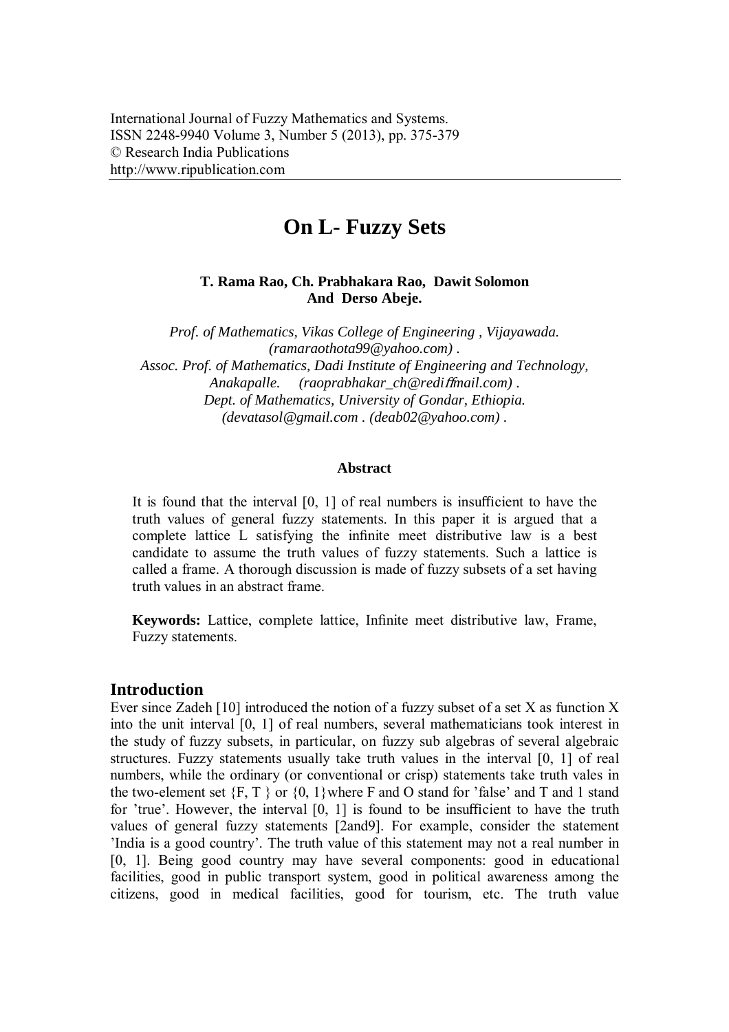# **On L- Fuzzy Sets**

# **T. Rama Rao, Ch. Prabhakara Rao, Dawit Solomon And Derso Abeje.**

*Prof. of Mathematics, Vikas College of Engineering , Vijayawada. (ramaraothota99@yahoo.com) . Assoc. Prof. of Mathematics, Dadi Institute of Engineering and Technology, Anakapalle. (raoprabhakar\_ch@redi*ff*mail.com) . Dept. of Mathematics, University of Gondar, Ethiopia. (devatasol@gmail.com . (deab02@yahoo.com) .* 

#### **Abstract**

It is found that the interval [0, 1] of real numbers is insufficient to have the truth values of general fuzzy statements. In this paper it is argued that a complete lattice L satisfying the infinite meet distributive law is a best candidate to assume the truth values of fuzzy statements. Such a lattice is called a frame. A thorough discussion is made of fuzzy subsets of a set having truth values in an abstract frame.

**Keywords:** Lattice, complete lattice, Infinite meet distributive law, Frame, Fuzzy statements.

# **Introduction**

Ever since Zadeh [10] introduced the notion of a fuzzy subset of a set X as function X into the unit interval [0, 1] of real numbers, several mathematicians took interest in the study of fuzzy subsets, in particular, on fuzzy sub algebras of several algebraic structures. Fuzzy statements usually take truth values in the interval [0, 1] of real numbers, while the ordinary (or conventional or crisp) statements take truth vales in the two-element set  ${F, T}$  or  ${0, 1}$  where F and O stand for 'false' and T and 1 stand for 'true'. However, the interval [0, 1] is found to be insufficient to have the truth values of general fuzzy statements [2and9]. For example, consider the statement 'India is a good country'. The truth value of this statement may not a real number in [0, 1]. Being good country may have several components: good in educational facilities, good in public transport system, good in political awareness among the citizens, good in medical facilities, good for tourism, etc. The truth value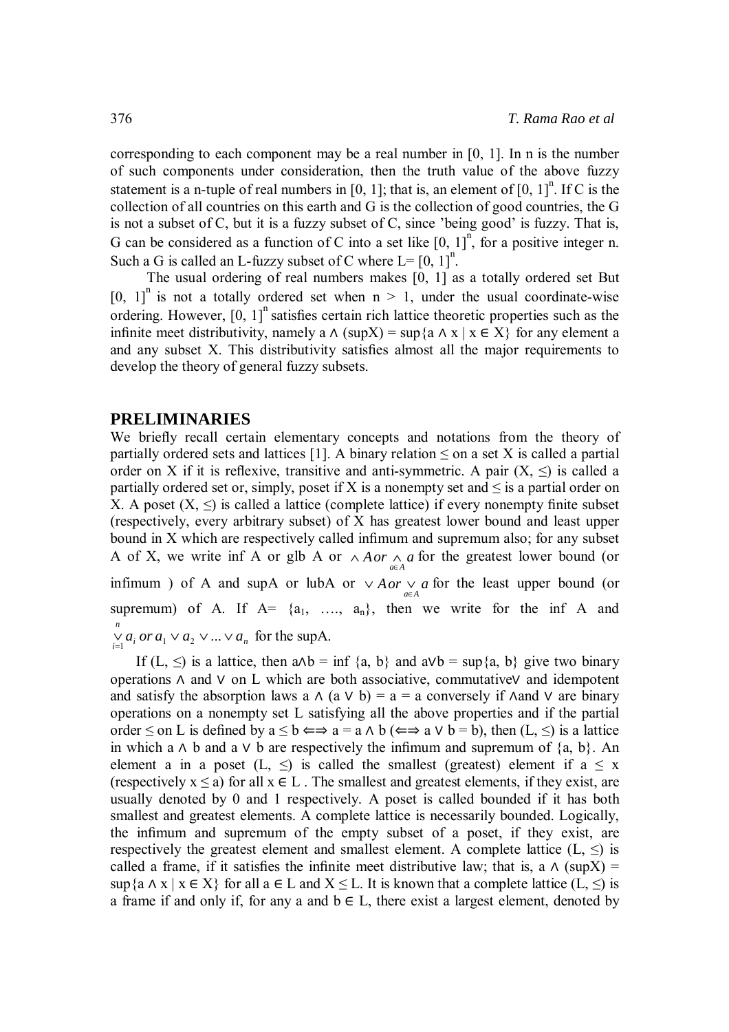corresponding to each component may be a real number in [0, 1]. In n is the number of such components under consideration, then the truth value of the above fuzzy statement is a n-tuple of real numbers in [0, 1]; that is, an element of  $[0, 1]$ <sup>n</sup>. If C is the collection of all countries on this earth and G is the collection of good countries, the G is not a subset of C, but it is a fuzzy subset of C, since 'being good' is fuzzy. That is, G can be considered as a function of C into a set like  $[0, 1]$ <sup>n</sup>, for a positive integer n. Such a G is called an L-fuzzy subset of C where  $L = [0, 1]^n$ .

 The usual ordering of real numbers makes [0, 1] as a totally ordered set But [0, 1]<sup>n</sup> is not a totally ordered set when  $n > 1$ , under the usual coordinate-wise ordering. However,  $[0, 1]$ <sup>n</sup> satisfies certain rich lattice theoretic properties such as the infinite meet distributivity, namely a  $\Lambda$  (supX) = sup $\{a \land x \mid x \in X\}$  for any element a and any subset X. This distributivity satisfies almost all the major requirements to develop the theory of general fuzzy subsets.

#### **PRELIMINARIES**

We briefly recall certain elementary concepts and notations from the theory of partially ordered sets and lattices [1]. A binary relation  $\leq$  on a set X is called a partial order on X if it is reflexive, transitive and anti-symmetric. A pair  $(X, \le)$  is called a partially ordered set or, simply, poset if X is a nonempty set and  $\leq$  is a partial order on X. A poset  $(X, \leq)$  is called a lattice (complete lattice) if every nonempty finite subset (respectively, every arbitrary subset) of X has greatest lower bound and least upper bound in X which are respectively called infimum and supremum also; for any subset A of X, we write inf A or glb A or  $\land$  *Aor*  $\land$  *a* for the greatest lower bound (or infimum) of A and supA or lubA or  $\vee$  *Aor*  $\vee$  *a*∈*A* for the least upper bound (or supremum) of A. If  $A = \{a_1, \ldots, a_n\}$ , then we write for the inf A and  $\mu_i$  *or*  $a_1$   $\vee$   $a_2$   $\vee$  ...  $\vee$   $a_n$ *n*  $\bigvee_{i=1}^{\infty} a_i$  *or*  $a_1 \vee a_2 \vee ... \vee a_n$  for the supA.

If (L,  $\leq$ ) is a lattice, then a∧b = inf {a, b} and a∨b = sup{a, b} give two binary operations ∧ and ∨ on L which are both associative, commutative∨ and idempotent and satisfy the absorption laws a  $\wedge$  (a  $\vee$  b) = a = a conversely if  $\wedge$  and  $\vee$  are binary operations on a nonempty set L satisfying all the above properties and if the partial order  $\leq$  on L is defined by  $a \leq b \Longleftrightarrow a = a \land b \ (\Longleftrightarrow a \lor b = b)$ , then  $(L, \leq)$  is a lattice in which a  $\wedge$  b and a  $\vee$  b are respectively the infimum and supremum of  $\{a, b\}$ . An element a in a poset (L,  $\leq$ ) is called the smallest (greatest) element if a  $\leq x$ (respectively  $x \le a$ ) for all  $x \in L$ . The smallest and greatest elements, if they exist, are usually denoted by 0 and 1 respectively. A poset is called bounded if it has both smallest and greatest elements. A complete lattice is necessarily bounded. Logically, the infimum and supremum of the empty subset of a poset, if they exist, are respectively the greatest element and smallest element. A complete lattice  $(L, \leq)$  is called a frame, if it satisfies the infinite meet distributive law; that is, a  $\wedge$  (supX) = sup{a  $\wedge$  x | x  $\in$  X} for all a  $\in$  L and  $X \leq L$ . It is known that a complete lattice (L,  $\leq$ ) is a frame if and only if, for any a and  $b \in L$ , there exist a largest element, denoted by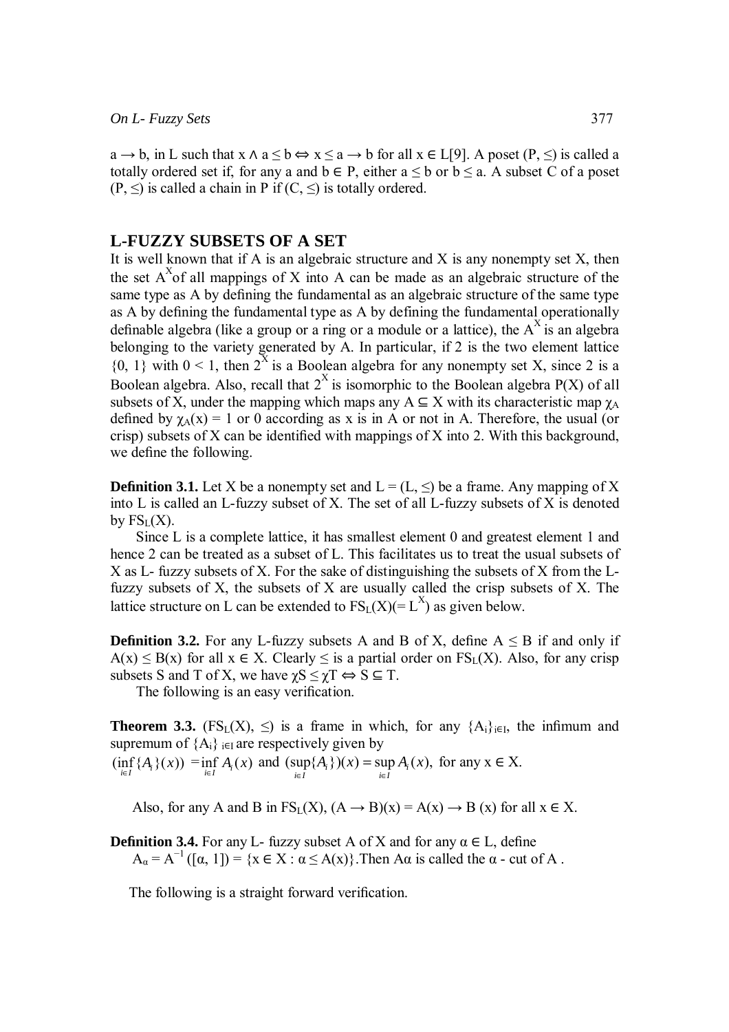$a \rightarrow b$ , in L such that  $x \land a \leq b \Leftrightarrow x \leq a \rightarrow b$  for all  $x \in L[9]$ . A poset  $(P, \leq)$  is called a totally ordered set if, for any a and  $b \in P$ , either  $a \leq b$  or  $b \leq a$ . A subset C of a poset  $(P, \leq)$  is called a chain in P if  $(C, \leq)$  is totally ordered.

# **L-FUZZY SUBSETS OF A SET**

It is well known that if A is an algebraic structure and X is any nonempty set  $X$ , then the set  $A^X$  of all mappings of X into A can be made as an algebraic structure of the same type as A by defining the fundamental as an algebraic structure of the same type as A by defining the fundamental type as A by defining the fundamental operationally definable algebra (like a group or a ring or a module or a lattice), the  $A^X$  is an algebra belonging to the variety generated by A. In particular, if 2 is the two element lattice  ${0, 1}$  with  $0 < 1$ , then  $2^X$  is a Boolean algebra for any nonempty set X, since 2 is a Boolean algebra. Also, recall that  $2^X$  is isomorphic to the Boolean algebra  $P(X)$  of all subsets of X, under the mapping which maps any  $A \subseteq X$  with its characteristic map  $\gamma_A$ defined by  $\chi_A(x) = 1$  or 0 according as x is in A or not in A. Therefore, the usual (or crisp) subsets of X can be identified with mappings of X into 2. With this background, we define the following.

**Definition 3.1.** Let X be a nonempty set and  $L = (L, \leq)$  be a frame. Any mapping of X into L is called an L-fuzzy subset of X. The set of all L-fuzzy subsets of X is denoted by  $FS<sub>L</sub>(X)$ .

 Since L is a complete lattice, it has smallest element 0 and greatest element 1 and hence 2 can be treated as a subset of L. This facilitates us to treat the usual subsets of X as L- fuzzy subsets of X. For the sake of distinguishing the subsets of X from the Lfuzzy subsets of  $X$ , the subsets of  $X$  are usually called the crisp subsets of  $X$ . The lattice structure on L can be extended to  $FS_L(X) (= L^X)$  as given below.

**Definition 3.2.** For any L-fuzzy subsets A and B of X, define  $A \leq B$  if and only if  $A(x) \leq B(x)$  for all  $x \in X$ . Clearly  $\leq$  is a partial order on  $FS<sub>L</sub>(X)$ . Also, for any crisp subsets S and T of X, we have  $\chi S \leq \chi T \Leftrightarrow S \subseteq T$ .

The following is an easy verification.

**Theorem 3.3.** (FS<sub>L</sub>(X),  $\leq$ ) is a frame in which, for any  $\{A_i\}_{i\in I}$ , the infimum and supremum of  ${A_i}$ <sub>i $\in$ I</sub> are respectively given by

 $(\inf_{i \in I} \{A_i\}(x)) = \inf_{i \in I} A_i(x)$  and  $(\sup_{i \in I} \{A_i\})(x) = \sup_{i \in I} A_i(x)$ ,  $=$  sup  $A_i(x)$ , for any  $x \in X$ .

Also, for any A and B in  $FS_L(X)$ ,  $(A \rightarrow B)(x) = A(x) \rightarrow B(x)$  for all  $x \in X$ .

**Definition 3.4.** For any L- fuzzy subset A of X and for any  $\alpha \in L$ , define  $A_{\alpha} = A^{-1}([\alpha, 1]) = \{x \in X : \alpha \leq A(x)\}\.$  Then A $\alpha$  is called the  $\alpha$  - cut of A.

The following is a straight forward verification.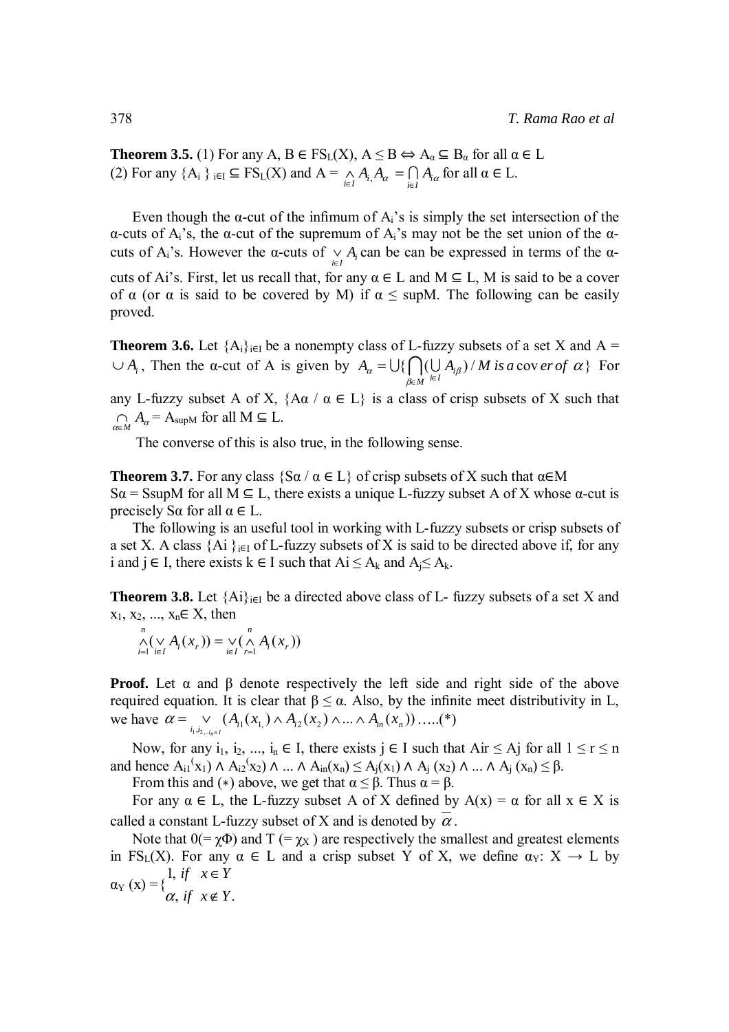**Theorem 3.5.** (1) For any A,  $B \in FS_L(X)$ ,  $A \leq B \Leftrightarrow A_\alpha \subseteq B_\alpha$  for all  $\alpha \in L$ (2) For any  $\{A_i\}$   $\in$   $\Gamma S_L(X)$  and  $A = \bigwedge_{i \in I} A_i$ ,  $A_\alpha = \bigcap_{i \in I} A_{i\alpha}$  for all  $\alpha \in L$ .

Even though the  $\alpha$ -cut of the infimum of  $A_i$ 's is simply the set intersection of the α-cuts of Ai's, the α-cut of the supremum of Ai's may not be the set union of the αcuts of  $A_i$ 's. However the  $\alpha$ -cuts of  $\bigvee_{i \in I} A_i$  can be can be expressed in terms of the  $\alpha$ cuts of Ai's. First, let us recall that, for any  $\alpha \in L$  and  $M \subseteq L$ , M is said to be a cover of  $\alpha$  (or  $\alpha$  is said to be covered by M) if  $\alpha \leq \text{supM}$ . The following can be easily proved.

**Theorem 3.6.** Let  ${A_i}_{i \in I}$  be a nonempty class of L-fuzzy subsets of a set X and A =  $\cup A_i$ , Then the  $\alpha$ -cut of A is given by  $A_\alpha = \bigcup \{ \bigcap (\bigcup A_{i\beta})/M \text{ is a cov }er \text{ of } \alpha \}$ β  $A_{\alpha} = \bigcup \{ \bigcap (\bigcup A_{i\beta}) / M \text{ is a cov } er \text{ of } \}$  $\bigcup \{ \bigcap_{\beta \in M} (\bigcup_{i \in I} A_i)$ ∈ $\overline{M}$ <sup>i∈</sup>  $=\bigcup\{\bigcap(\bigcup A_{i\beta})/M$  is a cover of  $\alpha\}$  For

any L-fuzzy subset A of X,  $\{A\alpha \mid \alpha \in L\}$  is a class of crisp subsets of X such that  $\bigcap_{\alpha \in M} A_{\alpha} = A_{\text{supM}}$  for all  $M \subseteq L$ .

The converse of this is also true, in the following sense.

**Theorem 3.7.** For any class  $\{S\alpha / \alpha \in L\}$  of crisp subsets of X such that  $\alpha \in M$ S $\alpha$  = SsupM for all M  $\subseteq$  L, there exists a unique L-fuzzy subset A of X whose  $\alpha$ -cut is precisely S $\alpha$  for all  $\alpha \in L$ .

 The following is an useful tool in working with L-fuzzy subsets or crisp subsets of a set X. A class {Ai }<sub>i∈I</sub> of L-fuzzy subsets of X is said to be directed above if, for any i and j ∈ I, there exists k ∈ I such that  $Ai \le A_k$  and  $A_i \le A_k$ .

**Theorem 3.8.** Let  ${Ai}_{i \in I}$  be a directed above class of L- fuzzy subsets of a set X and  $x_1, x_2, ..., x_n \in X$ , then

$$
\bigwedge_{i=1}^n (\bigvee_{i\in I} A_i(x_r)) = \bigvee_{i\in I} (\bigwedge_{r=1}^n A_i(x_r))
$$

**Proof.** Let  $\alpha$  and  $\beta$  denote respectively the left side and right side of the above required equation. It is clear that  $β ≤ α$ . Also, by the infinite meet distributivity in L, we have  $\alpha = \bigvee_{i_1, i_2, \dots, i_n \in I} (A_{i_1}(x_{1}) \wedge A_{i_2}(x_2) \wedge ... \wedge A_{i_n}(x_n))$  $i_n \in I$  $\alpha = \bigvee_{i_1, i_2, \dots, i_n \in I} (A_{i_1}(x_{1}) \wedge A_{i_2}(x_2) \wedge ... \wedge A_{i_n}(x_n)) \dots (*)$ 

Now, for any i<sub>1</sub>, i<sub>2</sub>, ..., i<sub>n</sub>  $\in$  I, there exists j  $\in$  I such that Air  $\leq$  Aj for all  $1 \leq r \leq n$ and hence  $A_{i1}(x_1) \wedge A_{i2}(x_2) \wedge ... \wedge A_{in}(x_n) \le A_j(x_1) \wedge A_j(x_2) \wedge ... \wedge A_j(x_n) \le \beta$ .

From this and (\*) above, we get that  $\alpha \leq \beta$ . Thus  $\alpha = \beta$ .

For any  $\alpha \in L$ , the L-fuzzy subset A of X defined by  $A(x) = \alpha$  for all  $x \in X$  is called a constant L-fuzzy subset of X and is denoted by  $\alpha$ .

Note that  $0 (= \chi \Phi)$  and T  $(= \chi_X)$  are respectively the smallest and greatest elements in FS<sub>L</sub>(X). For any  $\alpha \in L$  and a crisp subset Y of X, we define  $\alpha_Y: X \to L$  by ∈

 $\alpha_Y(x) = \begin{cases} 1, & \text{if } x \in Y \\ \alpha, & \text{if } x \notin Y. \end{cases}$ ∉ α